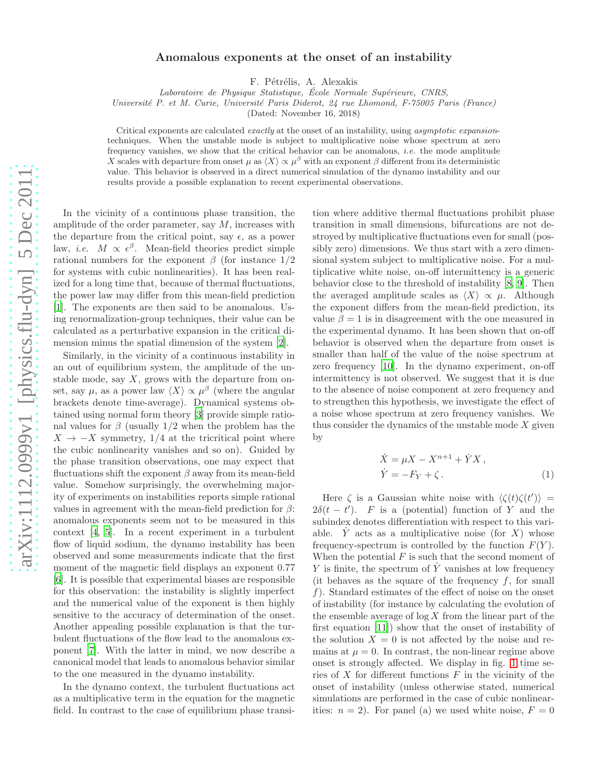## Anomalous exponents at the onset of an instability

F. Pétrélis, A. Alexakis

Laboratoire de Physique Statistique, École Normale Supérieure, CNRS,

Université P. et M. Curie, Université Paris Diderot, 24 rue Lhomond, F-75005 Paris (France)

(Dated: November 16, 2018)

Critical exponents are calculated *exactly* at the onset of an instability, using *asymptotic expansion*techniques. When the unstable mode is subject to multiplicative noise whose spectrum at zero frequency vanishes, we show that the critical behavior can be anomalous, *i.e.* the mode amplitude X scales with departure from onset  $\mu$  as  $\langle X \rangle \propto \mu^{\beta}$  with an exponent  $\beta$  different from its deterministic value. This behavior is observed in a direct numerical simulation of the dynamo instability and our results provide a possible explanation to recent experimental observations.

In the vicinity of a continuous phase transition, the amplitude of the order parameter, say  $M$ , increases with the departure from the critical point, say  $\epsilon$ , as a power law, *i.e.*  $M \propto \epsilon^{\beta}$ . Mean-field theories predict simple rational numbers for the exponent  $\beta$  (for instance 1/2) for systems with cubic nonlinearities). It has been realized for a long time that, because of thermal fluctuations, the power law may differ from this mean-field prediction [\[1\]](#page-3-0). The exponents are then said to be anomalous. Using renormalization-group techniques, their value can be calculated as a perturbative expansion in the critical dimension minus the spatial dimension of the system [\[2\]](#page-4-0).

Similarly, in the vicinity of a continuous instability in an out of equilibrium system, the amplitude of the unstable mode, say  $X$ , grows with the departure from onset, say  $\mu$ , as a power law  $\langle X \rangle \propto \mu^{\beta}$  (where the angular brackets denote time-average). Dynamical systems obtained using normal form theory [\[3](#page-4-1)] provide simple rational values for  $\beta$  (usually 1/2 when the problem has the  $X \rightarrow -X$  symmetry, 1/4 at the tricritical point where the cubic nonlinearity vanishes and so on). Guided by the phase transition observations, one may expect that fluctuations shift the exponent  $\beta$  away from its mean-field value. Somehow surprisingly, the overwhelming majority of experiments on instabilities reports simple rational values in agreement with the mean-field prediction for  $\beta$ : anomalous exponents seem not to be measured in this context [\[4,](#page-4-2) [5\]](#page-4-3). In a recent experiment in a turbulent flow of liquid sodium, the dynamo instability has been observed and some measurements indicate that the first moment of the magnetic field displays an exponent 0.77 [\[6\]](#page-4-4). It is possible that experimental biases are responsible for this observation: the instability is slightly imperfect and the numerical value of the exponent is then highly sensitive to the accuracy of determination of the onset. Another appealing possible explanation is that the turbulent fluctuations of the flow lead to the anomalous exponent [\[7](#page-4-5)]. With the latter in mind, we now describe a canonical model that leads to anomalous behavior similar to the one measured in the dynamo instability.

In the dynamo context, the turbulent fluctuations act as a multiplicative term in the equation for the magnetic field. In contrast to the case of equilibrium phase transi-

tion where additive thermal fluctuations prohibit phase transition in small dimensions, bifurcations are not destroyed by multiplicative fluctuations even for small (possibly zero) dimensions. We thus start with a zero dimensional system subject to multiplicative noise. For a multiplicative white noise, on-off intermittency is a generic behavior close to the threshold of instability [\[8,](#page-4-6) [9\]](#page-4-7). Then the averaged amplitude scales as  $\langle X \rangle \propto \mu$ . Although the exponent differs from the mean-field prediction, its value  $\beta = 1$  is in disagreement with the one measured in the experimental dynamo. It has been shown that on-off behavior is observed when the departure from onset is smaller than half of the value of the noise spectrum at zero frequency [\[10](#page-4-8)]. In the dynamo experiment, on-off intermittency is not observed. We suggest that it is due to the absence of noise component at zero frequency and to strengthen this hypothesis, we investigate the effect of a noise whose spectrum at zero frequency vanishes. We thus consider the dynamics of the unstable mode  $X$  given by

<span id="page-0-0"></span>
$$
\begin{aligned}\n\dot{X} &= \mu X - X^{n+1} + \dot{Y}X, \\
\dot{Y} &= -F_Y + \zeta.\n\end{aligned} \tag{1}
$$

Here  $\zeta$  is a Gaussian white noise with  $\langle \zeta(t) \zeta(t') \rangle$  =  $2\delta(t-t')$ . F is a (potential) function of Y and the subindex denotes differentiation with respect to this variable. Y acts as a multiplicative noise (for X) whose frequency-spectrum is controlled by the function  $F(Y)$ . When the potential  $F$  is such that the second moment of Y is finite, the spectrum of  $\dot{Y}$  vanishes at low frequency (it behaves as the square of the frequency  $f$ , for small f). Standard estimates of the effect of noise on the onset of instability (for instance by calculating the evolution of the ensemble average of  $\log X$  from the linear part of the first equation [\[11](#page-4-9)]) show that the onset of instability of the solution  $X = 0$  is not affected by the noise and remains at  $\mu = 0$ . In contrast, the non-linear regime above onset is strongly affected. We display in fig. [1](#page-1-0) time series of  $X$  for different functions  $F$  in the vicinity of the onset of instability (unless otherwise stated, numerical simulations are performed in the case of cubic nonlinearities:  $n = 2$ ). For panel (a) we used white noise,  $F = 0$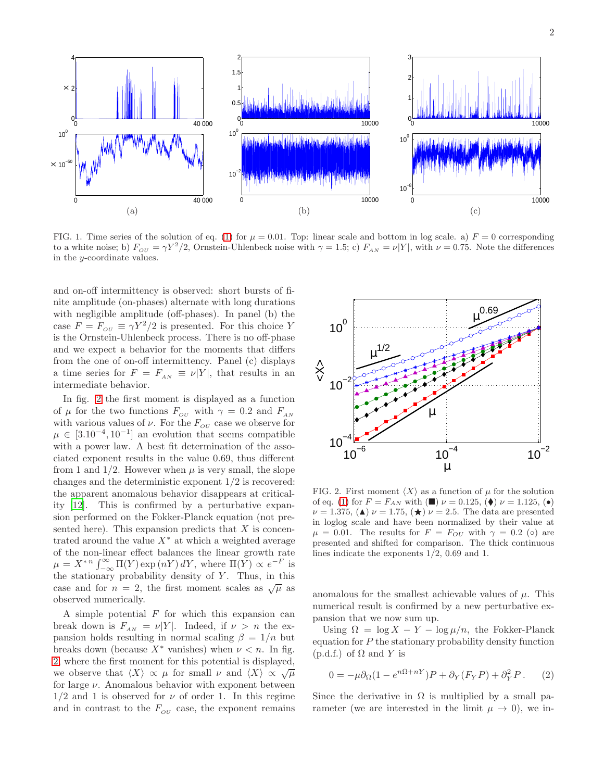

<span id="page-1-0"></span>FIG. 1. Time series of the solution of eq. [\(1\)](#page-0-0) for  $\mu = 0.01$ . Top: linear scale and bottom in log scale. a)  $F = 0$  corresponding to a white noise; b)  $F_{OU} = \gamma Y^2/2$ , Ornstein-Uhlenbeck noise with  $\gamma = 1.5$ ; c)  $F_{AN} = \nu |Y|$ , with  $\nu = 0.75$ . Note the differences in the y-coordinate values.

and on-off intermittency is observed: short bursts of finite amplitude (on-phases) alternate with long durations with negligible amplitude (off-phases). In panel (b) the case  $F = F_{\text{ou}} \equiv \gamma Y^2/2$  is presented. For this choice Y is the Ornstein-Uhlenbeck process. There is no off-phase and we expect a behavior for the moments that differs from the one of on-off intermittency. Panel (c) displays a time series for  $F = F_{AN} \equiv \nu |Y|$ , that results in an intermediate behavior.

In fig. [2](#page-1-1) the first moment is displayed as a function of  $\mu$  for the two functions  $F_{\alpha\nu}$  with  $\gamma = 0.2$  and  $F_{\scriptscriptstyle AN}$ with various values of  $\nu$ . For the  $F_{\alpha}$  case we observe for  $\mu \in [3.10^{-4}, 10^{-1}]$  an evolution that seems compatible with a power law. A best fit determination of the associated exponent results in the value 0.69, thus different from 1 and  $1/2$ . However when  $\mu$  is very small, the slope changes and the deterministic exponent 1/2 is recovered: the apparent anomalous behavior disappears at criticality [\[12\]](#page-4-10). This is confirmed by a perturbative expansion performed on the Fokker-Planck equation (not presented here). This expansion predicts that  $X$  is concentrated around the value  $X^*$  at which a weighted average of the non-linear effect balances the linear growth rate  $\mu = X^{*n} \int_{-\infty}^{\infty} \Pi(Y) \exp(nY) dY$ , where  $\Pi(Y) \propto e^{-F}$  is the stationary probability density of  $Y$ . Thus, in this case and for  $n = 2$ , the first moment scales as  $\sqrt{\mu}$  as observed numerically.

A simple potential  $F$  for which this expansion can break down is  $F_{AN} = \nu |Y|$ . Indeed, if  $\nu > n$  the expansion holds resulting in normal scaling  $\beta = 1/n$  but breaks down (because  $X^*$  vanishes) when  $\nu < n$ . In fig. [2,](#page-1-1) where the first moment for this potential is displayed, we observe that  $\langle X \rangle \propto \mu$  for small  $\nu$  and  $\langle X \rangle \propto \sqrt{\mu}$ for large  $\nu$ . Anomalous behavior with exponent between  $1/2$  and 1 is observed for  $\nu$  of order 1. In this regime and in contrast to the  $F_{\sigma\nu}$  case, the exponent remains



<span id="page-1-1"></span>FIG. 2. First moment  $\langle X \rangle$  as a function of  $\mu$  for the solution of eq. [\(1\)](#page-0-0) for  $F = F_{AN}$  with  $(\blacksquare)$   $\nu = 0.125, (\blacklozenge)$   $\nu = 1.125, (\blacklozenge)$  $\nu = 1.375$ , (A)  $\nu = 1.75$ , ( $\star$ )  $\nu = 2.5$ . The data are presented in loglog scale and have been normalized by their value at  $\mu = 0.01$ . The results for  $F = F_{OU}$  with  $\gamma = 0.2$  ( $\circ$ ) are presented and shifted for comparison. The thick continuous lines indicate the exponents 1/2, 0.69 and 1.

anomalous for the smallest achievable values of  $\mu$ . This numerical result is confirmed by a new perturbative expansion that we now sum up.

Using  $\Omega = \log X - Y - \log \mu/n$ , the Fokker-Planck equation for P the stationary probability density function  $(p.d.f.)$  of  $\Omega$  and Y is

$$
0 = -\mu \partial_{\Omega} (1 - e^{n\Omega + nY}) P + \partial_{Y} (F_{Y} P) + \partial_{Y}^{2} P. \qquad (2)
$$

Since the derivative in  $\Omega$  is multiplied by a small parameter (we are interested in the limit  $\mu \to 0$ ), we in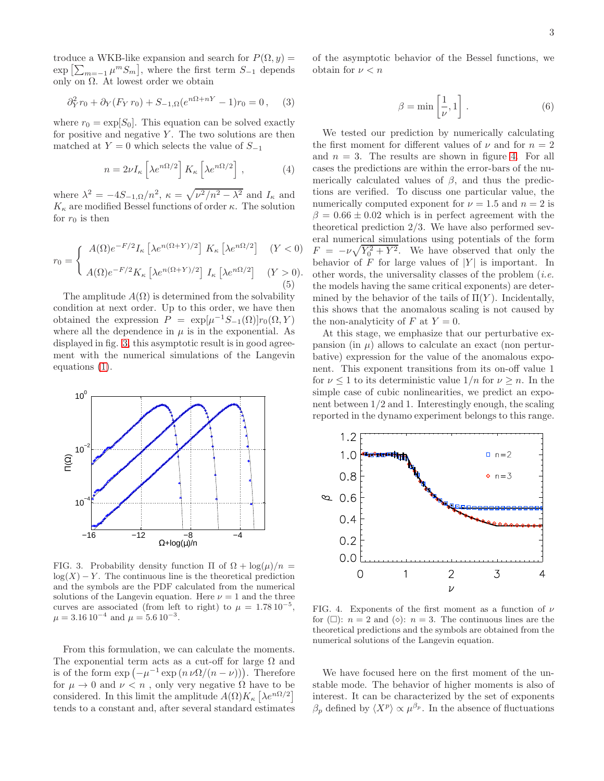troduce a WKB-like expansion and search for  $P(\Omega, y) =$  $\exp\left[\sum_{m=-1}\mu^mS_m\right]$ , where the first term  $S_{-1}$  depends only on  $Ω$ . At lowest order we obtain

$$
\partial_Y^2 r_0 + \partial_Y (F_Y r_0) + S_{-1,\Omega} (e^{n\Omega + nY} - 1) r_0 = 0, \quad (3)
$$

where  $r_0 = \exp[S_0]$ . This equation can be solved exactly for positive and negative  $Y$ . The two solutions are then matched at  $Y = 0$  which selects the value of  $S_{-1}$ 

$$
n = 2\nu I_{\kappa} \left[ \lambda e^{n\Omega/2} \right] K_{\kappa} \left[ \lambda e^{n\Omega/2} \right], \qquad (4)
$$

where  $\lambda^2 = -4S_{-1, \Omega}/n^2$ ,  $\kappa = \sqrt{\nu^2/n^2 - \lambda^2}$  and  $I_{\kappa}$  and  $K_{\kappa}$  are modified Bessel functions of order  $\kappa$ . The solution for  $r_0$  is then

$$
r_0 = \begin{cases} A(\Omega)e^{-F/2}I_{\kappa} \left[ \lambda e^{n(\Omega+Y)/2} \right] K_{\kappa} \left[ \lambda e^{n\Omega/2} \right] & (Y < 0) \\ A(\Omega)e^{-F/2}K_{\kappa} \left[ \lambda e^{n(\Omega+Y)/2} \right] I_{\kappa} \left[ \lambda e^{n\Omega/2} \right] & (Y > 0). \end{cases}
$$

The amplitude  $A(\Omega)$  is determined from the solvability condition at next order. Up to this order, we have then obtained the expression  $P = \exp[\mu^{-1}S_{-1}(\Omega)]r_0(\Omega, Y)$ where all the dependence in  $\mu$  is in the exponential. As displayed in fig. [3,](#page-2-0) this asymptotic result is in good agreement with the numerical simulations of the Langevin equations [\(1\)](#page-0-0).



<span id="page-2-0"></span>FIG. 3. Probability density function  $\Pi$  of  $\Omega + \log(\mu)/n =$  $log(X) - Y$ . The continuous line is the theoretical prediction and the symbols are the PDF calculated from the numerical solutions of the Langevin equation. Here  $\nu = 1$  and the three curves are associated (from left to right) to  $\mu = 1.78 \, 10^{-5}$ ,  $\mu = 3.16 \, 10^{-4}$  and  $\mu = 5.6 \, 10^{-3}$ .

From this formulation, we can calculate the moments. The exponential term acts as a cut-off for large  $\Omega$  and is of the form  $\exp(-\mu^{-1}\exp(n \nu \Omega/(n-\nu)))$ . Therefore for  $\mu \to 0$  and  $\nu < n$ , only very negative  $\Omega$  have to be considered. In this limit the amplitude  $A(\Omega)K_{\kappa} \left[ \lambda e^{n\Omega/2} \right]$ tends to a constant and, after several standard estimates of the asymptotic behavior of the Bessel functions, we obtain for  $\nu < n$ 

$$
\beta = \min\left[\frac{1}{\nu}, 1\right].\tag{6}
$$

We tested our prediction by numerically calculating the first moment for different values of  $\nu$  and for  $n = 2$ and  $n = 3$ . The results are shown in figure [4.](#page-2-1) For all cases the predictions are within the error-bars of the numerically calculated values of  $\beta$ , and thus the predictions are verified. To discuss one particular value, the numerically computed exponent for  $\nu = 1.5$  and  $n = 2$  is  $\beta = 0.66 \pm 0.02$  which is in perfect agreement with the theoretical prediction 2/3. We have also performed several numerical simulations using potentials of the form  $F = -\nu \sqrt{Y_0^2 + Y^2}$ . We have observed that only the behavior of  $F$  for large values of  $|Y|$  is important. In other words, the universality classes of the problem  $(i.e.$ the models having the same critical exponents) are determined by the behavior of the tails of  $\Pi(Y)$ . Incidentally, this shows that the anomalous scaling is not caused by the non-analyticity of F at  $Y = 0$ .

At this stage, we emphasize that our perturbative expansion (in  $\mu$ ) allows to calculate an exact (non perturbative) expression for the value of the anomalous exponent. This exponent transitions from its on-off value 1 for  $\nu \leq 1$  to its deterministic value  $1/n$  for  $\nu \geq n$ . In the simple case of cubic nonlinearities, we predict an exponent between 1/2 and 1. Interestingly enough, the scaling reported in the dynamo experiment belongs to this range.



<span id="page-2-1"></span>FIG. 4. Exponents of the first moment as a function of  $\nu$ for  $(\Box)$ :  $n = 2$  and  $(\diamond)$ :  $n = 3$ . The continuous lines are the theoretical predictions and the symbols are obtained from the numerical solutions of the Langevin equation.

We have focused here on the first moment of the unstable mode. The behavior of higher moments is also of interest. It can be characterized by the set of exponents  $\beta_p$  defined by  $\langle X^p \rangle \propto \mu^{\beta_p}$ . In the absence of fluctuations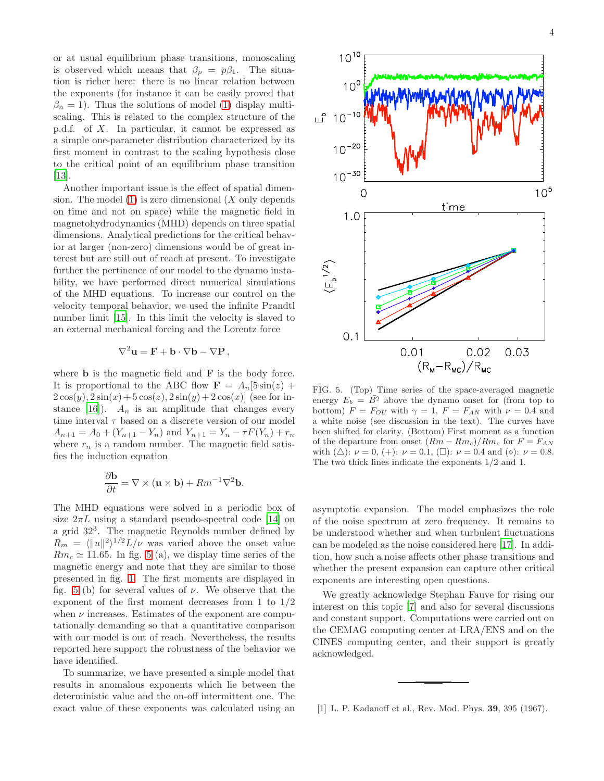or at usual equilibrium phase transitions, monoscaling is observed which means that  $\beta_p = p\beta_1$ . The situation is richer here: there is no linear relation between the exponents (for instance it can be easily proved that  $\beta_n = 1$ ). Thus the solutions of model [\(1\)](#page-0-0) display multiscaling. This is related to the complex structure of the p.d.f. of X. In particular, it cannot be expressed as a simple one-parameter distribution characterized by its first moment in contrast to the scaling hypothesis close to the critical point of an equilibrium phase transition [\[13\]](#page-4-11).

Another important issue is the effect of spatial dimension. The model  $(1)$  is zero dimensional  $(X \text{ only depends})$ on time and not on space) while the magnetic field in magnetohydrodynamics (MHD) depends on three spatial dimensions. Analytical predictions for the critical behavior at larger (non-zero) dimensions would be of great interest but are still out of reach at present. To investigate further the pertinence of our model to the dynamo instability, we have performed direct numerical simulations of the MHD equations. To increase our control on the velocity temporal behavior, we used the infinite Prandtl number limit [\[15\]](#page-4-12). In this limit the velocity is slaved to an external mechanical forcing and the Lorentz force

$$
\nabla^2 \mathbf{u} = \mathbf{F} + \mathbf{b} \cdot \nabla \mathbf{b} - \nabla \mathbf{P} \,,
$$

where  $\bf{b}$  is the magnetic field and  $\bf{F}$  is the body force. It is proportional to the ABC flow  $\mathbf{F} = A_n[5\sin(z) +$  $2\cos(y), 2\sin(x) + 5\cos(z), 2\sin(y) + 2\cos(x)$  (see for in-stance [\[16](#page-4-13)]).  $A_n$  is an amplitude that changes every time interval  $\tau$  based on a discrete version of our model  $A_{n+1} = A_0 + (Y_{n+1} - Y_n)$  and  $Y_{n+1} = Y_n - \tau F(Y_n) + r_n$ where  $r_n$  is a random number. The magnetic field satisfies the induction equation

$$
\frac{\partial \mathbf{b}}{\partial t} = \nabla \times (\mathbf{u} \times \mathbf{b}) + Rm^{-1} \nabla^2 \mathbf{b}.
$$

The MHD equations were solved in a periodic box of size  $2\pi L$  using a standard pseudo-spectral code [\[14\]](#page-4-14) on a grid 32<sup>3</sup> . The magnetic Reynolds number defined by  $R_m = \langle ||u||^2 \rangle^{1/2} L/\nu$  was varied above the onset value  $Rm_c \simeq 11.65$ . In fig. [5](#page-3-1) (a), we display time series of the magnetic energy and note that they are similar to those presented in fig. [1.](#page-1-0) The first moments are displayed in fig. [5](#page-3-1) (b) for several values of  $\nu$ . We observe that the exponent of the first moment decreases from 1 to  $1/2$ when  $\nu$  increases. Estimates of the exponent are computationally demanding so that a quantitative comparison with our model is out of reach. Nevertheless, the results reported here support the robustness of the behavior we have identified.

To summarize, we have presented a simple model that results in anomalous exponents which lie between the deterministic value and the on-off intermittent one. The exact value of these exponents was calculated using an



<span id="page-3-1"></span>FIG. 5. (Top) Time series of the space-averaged magnetic energy  $E_b = \overline{B^2}$  above the dynamo onset for (from top to bottom)  $F = F_{OU}$  with  $\gamma = 1$ ,  $F = F_{AN}$  with  $\nu = 0.4$  and a white noise (see discussion in the text). The curves have been shifted for clarity. (Bottom) First moment as a function of the departure from onset  $(Rm - Rm_c)/Rm_c$  for  $F = F_{AN}$ with ( $\triangle$ ):  $\nu = 0$ , (+):  $\nu = 0.1$ , ( $\Box$ ):  $\nu = 0.4$  and ( $\diamond$ ):  $\nu = 0.8$ . The two thick lines indicate the exponents 1/2 and 1.

asymptotic expansion. The model emphasizes the role of the noise spectrum at zero frequency. It remains to be understood whether and when turbulent fluctuations can be modeled as the noise considered here [\[17\]](#page-4-15). In addition, how such a noise affects other phase transitions and whether the present expansion can capture other critical exponents are interesting open questions.

We greatly acknowledge Stephan Fauve for rising our interest on this topic [\[7\]](#page-4-5) and also for several discussions and constant support. Computations were carried out on the CEMAG computing center at LRA/ENS and on the CINES computing center, and their support is greatly acknowledged.

<span id="page-3-0"></span>[1] L. P. Kadanoff et al., Rev. Mod. Phys. 39, 395 (1967).